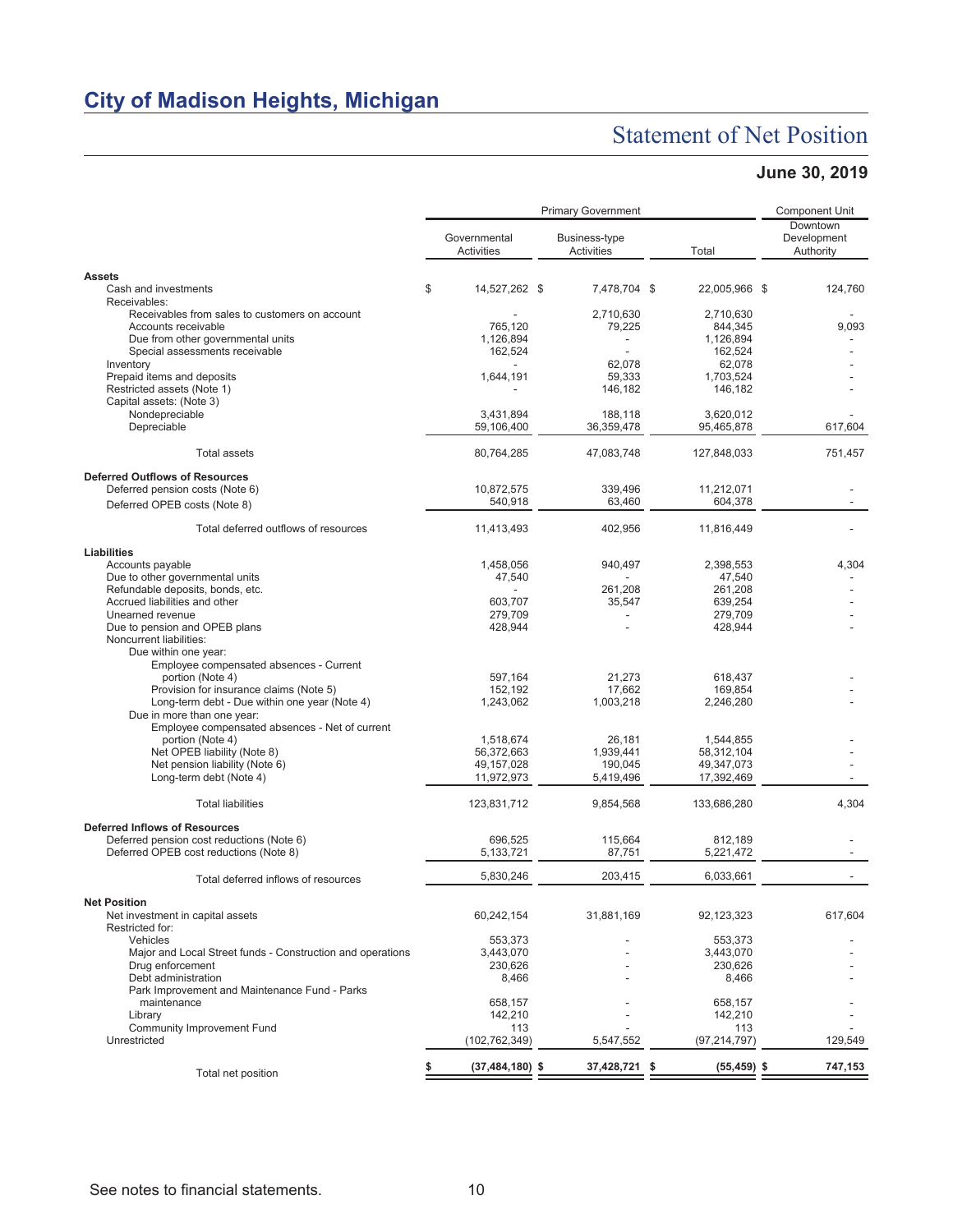# Statement of Net Position

### **June 30, 2019**

|                                                                                     |                            | <b>Component Unit</b>              |                       |                                      |
|-------------------------------------------------------------------------------------|----------------------------|------------------------------------|-----------------------|--------------------------------------|
|                                                                                     | Governmental<br>Activities | Business-type<br><b>Activities</b> | Total                 | Downtown<br>Development<br>Authority |
| <b>Assets</b>                                                                       |                            |                                    |                       |                                      |
| Cash and investments                                                                | \$<br>14,527,262 \$        | 7,478,704 \$                       | 22,005,966 \$         | 124,760                              |
| Receivables:<br>Receivables from sales to customers on account                      |                            | 2,710,630                          | 2,710,630             |                                      |
| Accounts receivable                                                                 | 765,120                    | 79,225                             | 844,345               | 9,093                                |
| Due from other governmental units                                                   | 1,126,894                  |                                    | 1,126,894             |                                      |
| Special assessments receivable                                                      | 162,524                    |                                    | 162,524               |                                      |
| Inventory                                                                           |                            | 62,078                             | 62,078                |                                      |
| Prepaid items and deposits<br>Restricted assets (Note 1)                            | 1,644,191                  | 59,333                             | 1.703.524             |                                      |
| Capital assets: (Note 3)                                                            |                            | 146,182                            | 146,182               |                                      |
| Nondepreciable                                                                      | 3,431,894                  | 188.118                            | 3,620,012             |                                      |
| Depreciable                                                                         | 59,106,400                 | 36,359,478                         | 95,465,878            | 617,604                              |
| <b>Total assets</b>                                                                 | 80,764,285                 | 47,083,748                         | 127,848,033           | 751,457                              |
| <b>Deferred Outflows of Resources</b>                                               |                            |                                    |                       |                                      |
| Deferred pension costs (Note 6)                                                     | 10,872,575                 | 339,496                            | 11,212,071            |                                      |
| Deferred OPEB costs (Note 8)                                                        | 540,918                    | 63,460                             | 604,378               |                                      |
| Total deferred outflows of resources                                                | 11,413,493                 | 402,956                            | 11,816,449            |                                      |
| Liabilities                                                                         |                            |                                    |                       |                                      |
| Accounts payable<br>Due to other governmental units                                 | 1,458,056<br>47,540        | 940,497                            | 2.398.553<br>47,540   | 4,304                                |
| Refundable deposits, bonds, etc.                                                    |                            | 261,208                            | 261,208               |                                      |
| Accrued liabilities and other                                                       | 603,707                    | 35,547                             | 639,254               |                                      |
| Unearned revenue                                                                    | 279,709                    |                                    | 279,709               |                                      |
| Due to pension and OPEB plans                                                       | 428,944                    |                                    | 428,944               |                                      |
| Noncurrent liabilities:                                                             |                            |                                    |                       |                                      |
| Due within one year:<br>Employee compensated absences - Current                     |                            |                                    |                       |                                      |
| portion (Note 4)                                                                    | 597,164                    | 21,273                             | 618,437               |                                      |
| Provision for insurance claims (Note 5)                                             | 152,192                    | 17,662                             | 169,854               |                                      |
| Long-term debt - Due within one year (Note 4)                                       | 1,243,062                  | 1,003,218                          | 2,246,280             |                                      |
| Due in more than one year:                                                          |                            |                                    |                       |                                      |
| Employee compensated absences - Net of current<br>portion (Note 4)                  | 1,518,674                  | 26,181                             | 1,544,855             |                                      |
| Net OPEB liability (Note 8)                                                         | 56,372,663                 | 1,939,441                          | 58,312,104            |                                      |
| Net pension liability (Note 6)                                                      | 49,157,028                 | 190,045                            | 49,347,073            |                                      |
| Long-term debt (Note 4)                                                             | 11,972,973                 | 5,419,496                          | 17,392,469            |                                      |
| <b>Total liabilities</b>                                                            | 123,831,712                | 9,854,568                          | 133,686,280           | 4,304                                |
| <b>Deferred Inflows of Resources</b>                                                |                            |                                    |                       |                                      |
| Deferred pension cost reductions (Note 6)<br>Deferred OPEB cost reductions (Note 8) | 696.525<br>5,133,721       | 115,664<br>87,751                  | 812,189<br>5,221,472  |                                      |
|                                                                                     |                            |                                    |                       |                                      |
| Total deferred inflows of resources                                                 | 5,830,246                  | 203,415                            | 6,033,661             |                                      |
| <b>Net Position</b>                                                                 |                            |                                    |                       |                                      |
| Net investment in capital assets<br>Restricted for:                                 | 60,242,154                 | 31,881,169                         | 92,123,323            | 617,604                              |
| Vehicles                                                                            | 553,373                    |                                    | 553.373               |                                      |
| Major and Local Street funds - Construction and operations<br>Drug enforcement      | 3,443,070                  |                                    | 3,443,070             |                                      |
| Debt administration                                                                 | 230,626<br>8,466           |                                    | 230,626<br>8,466      |                                      |
| Park Improvement and Maintenance Fund - Parks                                       |                            |                                    |                       |                                      |
| maintenance                                                                         | 658,157                    |                                    | 658,157               |                                      |
| Library                                                                             | 142,210                    |                                    | 142,210               |                                      |
| <b>Community Improvement Fund</b><br>Unrestricted                                   | 113<br>(102, 762, 349)     | 5,547,552                          | 113<br>(97, 214, 797) | 129,549                              |
|                                                                                     |                            |                                    |                       |                                      |
| Total net position                                                                  | $(37, 484, 180)$ \$        | 37,428,721 \$                      | $(55, 459)$ \$        | 747,153                              |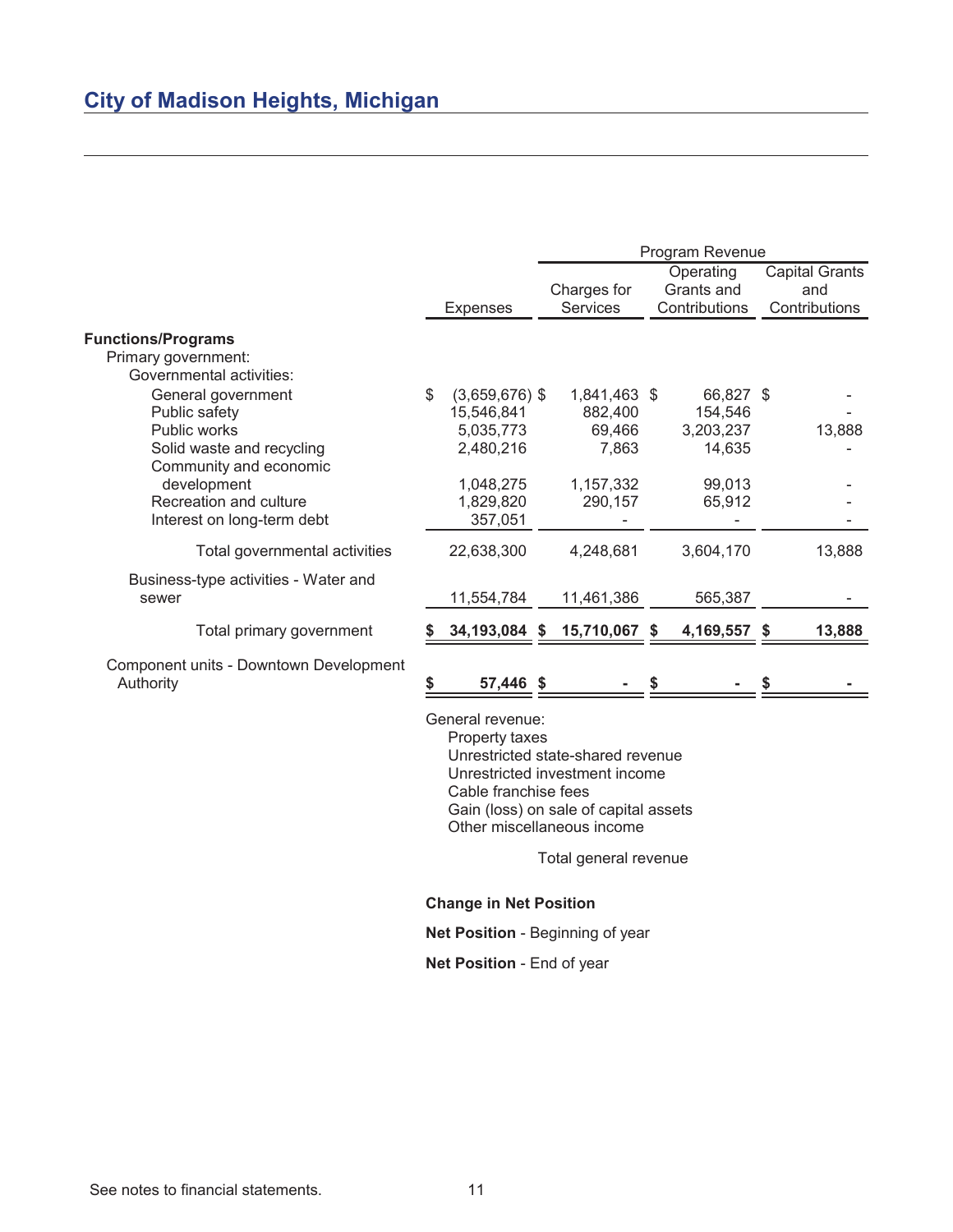|                                                                              |                                      | Program Revenue |                                |  |                                          |    |                                               |
|------------------------------------------------------------------------------|--------------------------------------|-----------------|--------------------------------|--|------------------------------------------|----|-----------------------------------------------|
|                                                                              | <b>Expenses</b>                      |                 | Charges for<br><b>Services</b> |  | Operating<br>Grants and<br>Contributions |    | <b>Capital Grants</b><br>and<br>Contributions |
| <b>Functions/Programs</b><br>Primary government:<br>Governmental activities: |                                      |                 |                                |  |                                          |    |                                               |
| General government<br>Public safety                                          | \$<br>$(3,659,676)$ \$<br>15,546,841 |                 | 1,841,463 \$<br>882,400        |  | 66,827 \$<br>154,546                     |    |                                               |
| Public works<br>Solid waste and recycling<br>Community and economic          | 5,035,773<br>2,480,216               |                 | 69,466<br>7,863                |  | 3,203,237<br>14,635                      |    | 13,888                                        |
| development<br>Recreation and culture<br>Interest on long-term debt          | 1,048,275<br>1,829,820<br>357,051    |                 | 1,157,332<br>290,157           |  | 99,013<br>65,912                         |    |                                               |
| Total governmental activities                                                | 22,638,300                           |                 | 4,248,681                      |  | 3,604,170                                |    | 13,888                                        |
| Business-type activities - Water and<br>sewer                                | 11,554,784                           |                 | 11,461,386                     |  | 565,387                                  |    |                                               |
| Total primary government                                                     | 34, 193, 084 \$                      |                 | 15,710,067 \$                  |  | 4,169,557                                | -S | 13,888                                        |
| Component units - Downtown Development<br>Authority                          | 57,446 \$                            |                 |                                |  |                                          |    |                                               |
|                                                                              | General revenue:                     |                 |                                |  |                                          |    |                                               |

Property taxes

Unrestricted state-shared revenue Unrestricted investment income Cable franchise fees Gain (loss) on sale of capital assets Other miscellaneous income

Total general revenue

**Change in Net Position**

**Net Position** - Beginning of year

**Net Position** - End of year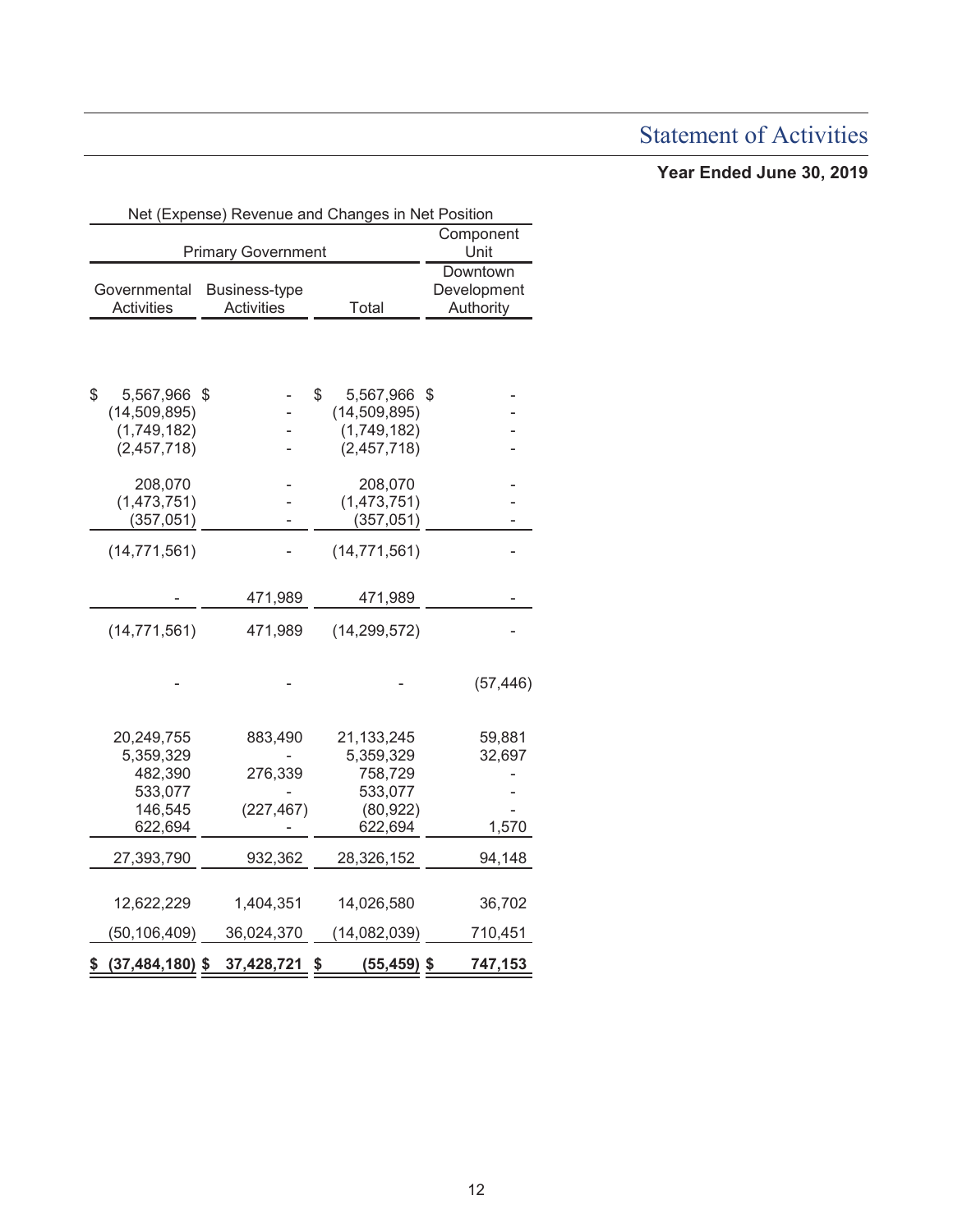# Statement of Activities

### **Year Ended June 30, 2019**

|                                    |                           |                                           |  |                         | Net (Expense) Revenue and Changes in Net Position |                                      |           |  |  |
|------------------------------------|---------------------------|-------------------------------------------|--|-------------------------|---------------------------------------------------|--------------------------------------|-----------|--|--|
| <b>Primary Government</b>          |                           |                                           |  |                         |                                                   | Component<br>Unit                    |           |  |  |
| Governmental<br><b>Activities</b>  |                           | <b>Business-type</b><br><b>Activities</b> |  |                         | Total                                             | Downtown<br>Development<br>Authority |           |  |  |
|                                    |                           |                                           |  |                         |                                                   |                                      |           |  |  |
| \$                                 | 5,567,966<br>(14,509,895) | S                                         |  | \$                      | 5,567,966<br>(14,509,895)                         | S                                    |           |  |  |
|                                    | (1,749,182)               |                                           |  |                         | (1,749,182)                                       |                                      |           |  |  |
|                                    | (2,457,718)               |                                           |  |                         | (2,457,718)                                       |                                      |           |  |  |
|                                    | 208,070                   |                                           |  |                         | 208,070                                           |                                      |           |  |  |
|                                    | (1,473,751)               |                                           |  |                         | (1,473,751)                                       |                                      |           |  |  |
|                                    | (357, 051)                |                                           |  |                         | (357, 051)                                        |                                      |           |  |  |
|                                    | (14, 771, 561)            |                                           |  |                         | (14, 771, 561)                                    |                                      |           |  |  |
|                                    |                           | 471,989                                   |  |                         | 471,989                                           |                                      |           |  |  |
|                                    | (14, 771, 561)            | 471,989                                   |  |                         | (14, 299, 572)                                    |                                      |           |  |  |
|                                    |                           |                                           |  |                         |                                                   |                                      | (57, 446) |  |  |
|                                    |                           |                                           |  |                         |                                                   |                                      |           |  |  |
| 20,249,755<br>883,490<br>5,359,329 |                           |                                           |  | 21,133,245<br>5,359,329 |                                                   | 59,881<br>32,697                     |           |  |  |
|                                    | 482,390<br>276,339        |                                           |  |                         | 758,729                                           |                                      |           |  |  |
|                                    | 533,077                   |                                           |  |                         | 533,077                                           |                                      |           |  |  |
|                                    | 146,545                   | (227, 467)                                |  |                         | (80, 922)                                         |                                      |           |  |  |
|                                    | 622,694                   |                                           |  |                         | 622,694                                           |                                      | 1,570     |  |  |
|                                    |                           |                                           |  |                         |                                                   |                                      |           |  |  |
|                                    | 27,393,790                | 932,362                                   |  |                         | 28,326,152                                        |                                      | 94,148    |  |  |
|                                    | 12,622,229                | 1,404,351                                 |  |                         | 14,026,580                                        |                                      | 36,702    |  |  |
|                                    | (50,106,409)              | 36,024,370                                |  |                         | (14,082,039)                                      |                                      | 710,451   |  |  |
| \$                                 | $(37, 484, 180)$ \$       | 37,428,721                                |  | \$                      | $(55, 459)$ \$                                    |                                      | 747,153   |  |  |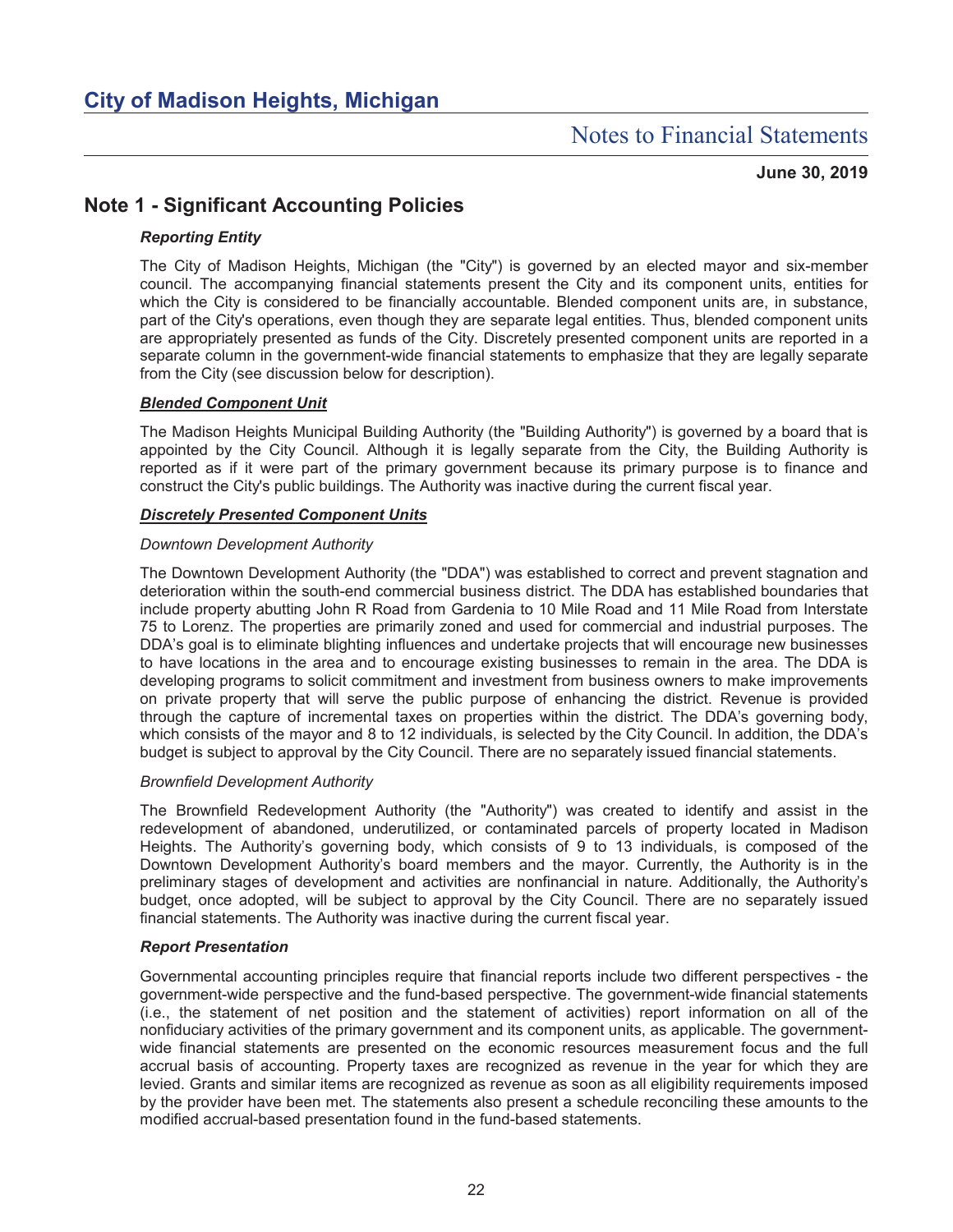## Notes to Financial Statements

**June 30, 2019**

### **Note 1 - Significant Accounting Policies**

#### *Reporting Entity*

The City of Madison Heights, Michigan (the "City") is governed by an elected mayor and six-member council. The accompanying financial statements present the City and its component units, entities for which the City is considered to be financially accountable. Blended component units are, in substance, part of the City's operations, even though they are separate legal entities. Thus, blended component units are appropriately presented as funds of the City. Discretely presented component units are reported in a separate column in the government-wide financial statements to emphasize that they are legally separate from the City (see discussion below for description).

#### *Blended Component Unit*

The Madison Heights Municipal Building Authority (the "Building Authority") is governed by a board that is appointed by the City Council. Although it is legally separate from the City, the Building Authority is reported as if it were part of the primary government because its primary purpose is to finance and construct the City's public buildings. The Authority was inactive during the current fiscal year.

#### *Discretely Presented Component Units*

#### *Downtown Development Authority*

The Downtown Development Authority (the "DDA") was established to correct and prevent stagnation and deterioration within the south-end commercial business district. The DDA has established boundaries that include property abutting John R Road from Gardenia to 10 Mile Road and 11 Mile Road from Interstate 75 to Lorenz. The properties are primarily zoned and used for commercial and industrial purposes. The DDA's goal is to eliminate blighting influences and undertake projects that will encourage new businesses to have locations in the area and to encourage existing businesses to remain in the area. The DDA is developing programs to solicit commitment and investment from business owners to make improvements on private property that will serve the public purpose of enhancing the district. Revenue is provided through the capture of incremental taxes on properties within the district. The DDA's governing body, which consists of the mayor and 8 to 12 individuals, is selected by the City Council. In addition, the DDA's budget is subject to approval by the City Council. There are no separately issued financial statements.

#### *Brownfield Development Authority*

The Brownfield Redevelopment Authority (the "Authority") was created to identify and assist in the redevelopment of abandoned, underutilized, or contaminated parcels of property located in Madison Heights. The Authority's governing body, which consists of 9 to 13 individuals, is composed of the Downtown Development Authority's board members and the mayor. Currently, the Authority is in the preliminary stages of development and activities are nonfinancial in nature. Additionally, the Authority's budget, once adopted, will be subject to approval by the City Council. There are no separately issued financial statements. The Authority was inactive during the current fiscal year.

#### *Report Presentation*

Governmental accounting principles require that financial reports include two different perspectives - the government-wide perspective and the fund-based perspective. The government-wide financial statements (i.e., the statement of net position and the statement of activities) report information on all of the nonfiduciary activities of the primary government and its component units, as applicable. The governmentwide financial statements are presented on the economic resources measurement focus and the full accrual basis of accounting. Property taxes are recognized as revenue in the year for which they are levied. Grants and similar items are recognized as revenue as soon as all eligibility requirements imposed by the provider have been met. The statements also present a schedule reconciling these amounts to the modified accrual-based presentation found in the fund-based statements.